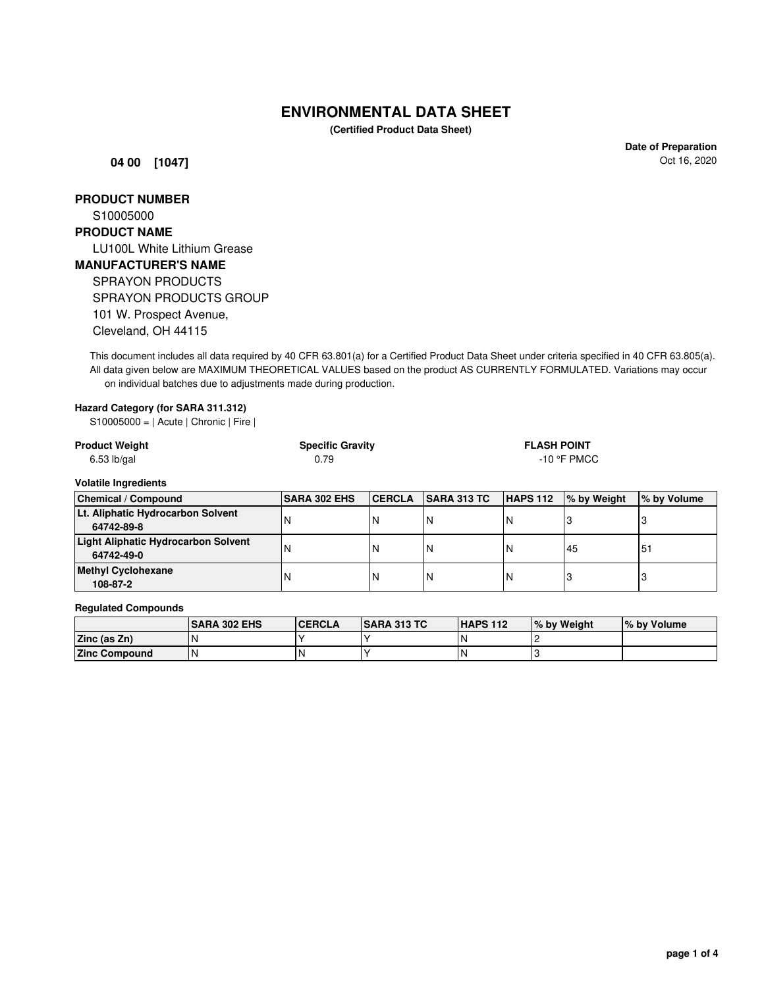# **ENVIRONMENTAL DATA SHEET**

**(Certified Product Data Sheet)**

**04 00 [1047]**

**Date of Preparation** Oct 16, 2020

**PRODUCT NUMBER**

S10005000

## **PRODUCT NAME**

LU100L White Lithium Grease **MANUFACTURER'S NAME** SPRAYON PRODUCTS SPRAYON PRODUCTS GROUP 101 W. Prospect Avenue, Cleveland, OH 44115

This document includes all data required by 40 CFR 63.801(a) for a Certified Product Data Sheet under criteria specified in 40 CFR 63.805(a). All data given below are MAXIMUM THEORETICAL VALUES based on the product AS CURRENTLY FORMULATED. Variations may occur on individual batches due to adjustments made during production.

#### **Hazard Category (for SARA 311.312)**

S10005000 = | Acute | Chronic | Fire |

| <b>Product Weight</b> | <b>Specific Gravity</b> | <b>FLASH POINT</b> |
|-----------------------|-------------------------|--------------------|
| $6.53$ lb/gal         | 0.79                    | -10 °F PMCC        |

#### **Volatile Ingredients**

| <b>Chemical / Compound</b>                 | <b>SARA 302 EHS</b> | <b>ICERCLA</b> | <b>SARA 313 TC</b> | <b>HAPS 112</b> | Ⅰ% by Weight | % by Volume |
|--------------------------------------------|---------------------|----------------|--------------------|-----------------|--------------|-------------|
| Lt. Aliphatic Hydrocarbon Solvent          |                     |                |                    |                 |              |             |
| 64742-89-8                                 |                     |                |                    |                 |              |             |
| <b>Light Aliphatic Hydrocarbon Solvent</b> |                     |                |                    |                 | 45           | l5.         |
| 64742-49-0                                 |                     |                |                    |                 |              |             |
| <b>Methyl Cyclohexane</b><br>108-87-2      |                     |                |                    | 'N              |              |             |

#### **Regulated Compounds**

|                      | <b>ISARA 302 EHS</b> | <b>CERCLA</b> | <b>SARA 313 TC</b> | <b>HAPS 112</b> | I% by Weight | % by Volume |
|----------------------|----------------------|---------------|--------------------|-----------------|--------------|-------------|
| Zinc (as Zn)         |                      |               |                    |                 |              |             |
| <b>Zinc Compound</b> |                      |               |                    |                 |              |             |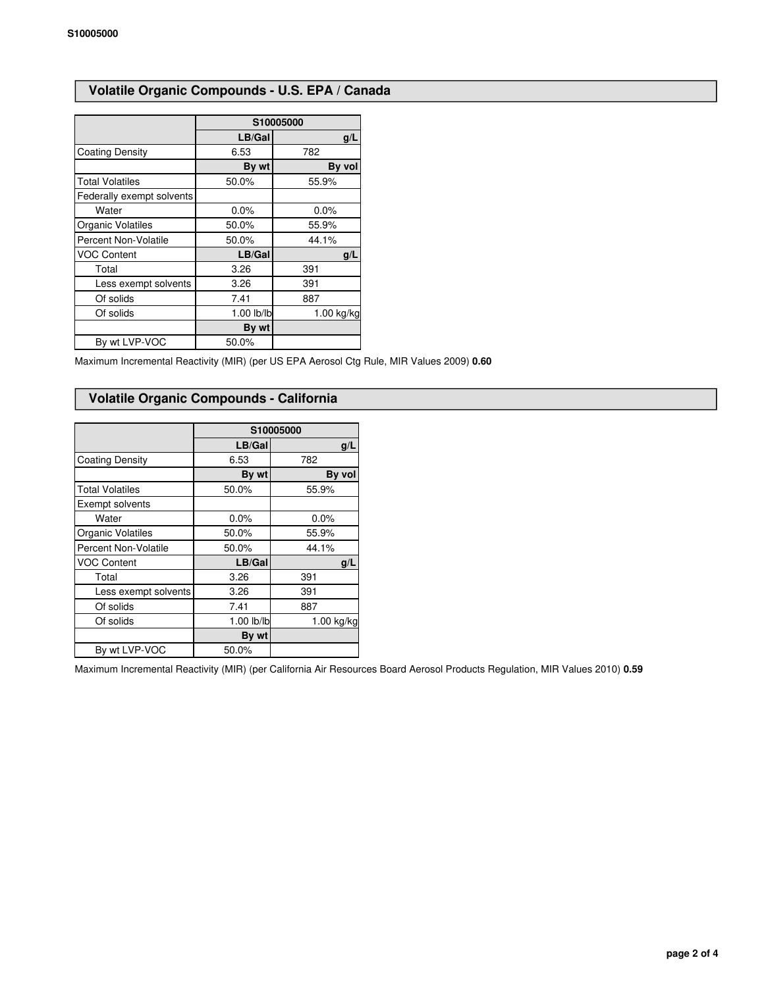# **Volatile Organic Compounds - U.S. EPA / Canada**

|                             | S10005000  |              |  |
|-----------------------------|------------|--------------|--|
|                             | LB/Gal     | g/L          |  |
| <b>Coating Density</b>      | 6.53       | 782          |  |
|                             | By wt      | By vol       |  |
| <b>Total Volatiles</b>      | 50.0%      | 55.9%        |  |
| Federally exempt solvents   |            |              |  |
| Water                       | 0.0%       | 0.0%         |  |
| Organic Volatiles           | 50.0%      | 55.9%        |  |
| <b>Percent Non-Volatile</b> | 50.0%      | 44.1%        |  |
| <b>VOC Content</b>          | LB/Gal     | g/L          |  |
| Total                       | 3.26       | 391          |  |
| Less exempt solvents        | 3.26       | 391          |  |
| Of solids                   | 7.41       | 887          |  |
| Of solids                   | 1.00 lb/lb | $1.00$ kg/kg |  |
|                             | By wt      |              |  |
| By wt LVP-VOC               | 50.0%      |              |  |

Maximum Incremental Reactivity (MIR) (per US EPA Aerosol Ctg Rule, MIR Values 2009) **0.60**

## **Volatile Organic Compounds - California**

|                        | S10005000  |            |  |
|------------------------|------------|------------|--|
|                        | LB/Gal     | q/L        |  |
| <b>Coating Density</b> | 6.53       | 782        |  |
|                        | By wt      | By vol     |  |
| <b>Total Volatiles</b> | 50.0%      | 55.9%      |  |
| Exempt solvents        |            |            |  |
| Water                  | 0.0%       | 0.0%       |  |
| Organic Volatiles      | 50.0%      | 55.9%      |  |
| Percent Non-Volatile   | 50.0%      | 44.1%      |  |
| <b>VOC Content</b>     | LB/Gal     | q/L        |  |
| Total                  | 3.26       | 391        |  |
| Less exempt solvents   | 3.26       | 391        |  |
| Of solids              | 7.41       | 887        |  |
| Of solids              | 1.00 lb/lb | 1.00 kg/kg |  |
|                        | By wt      |            |  |
| By wt LVP-VOC          | 50.0%      |            |  |

Maximum Incremental Reactivity (MIR) (per California Air Resources Board Aerosol Products Regulation, MIR Values 2010) **0.59**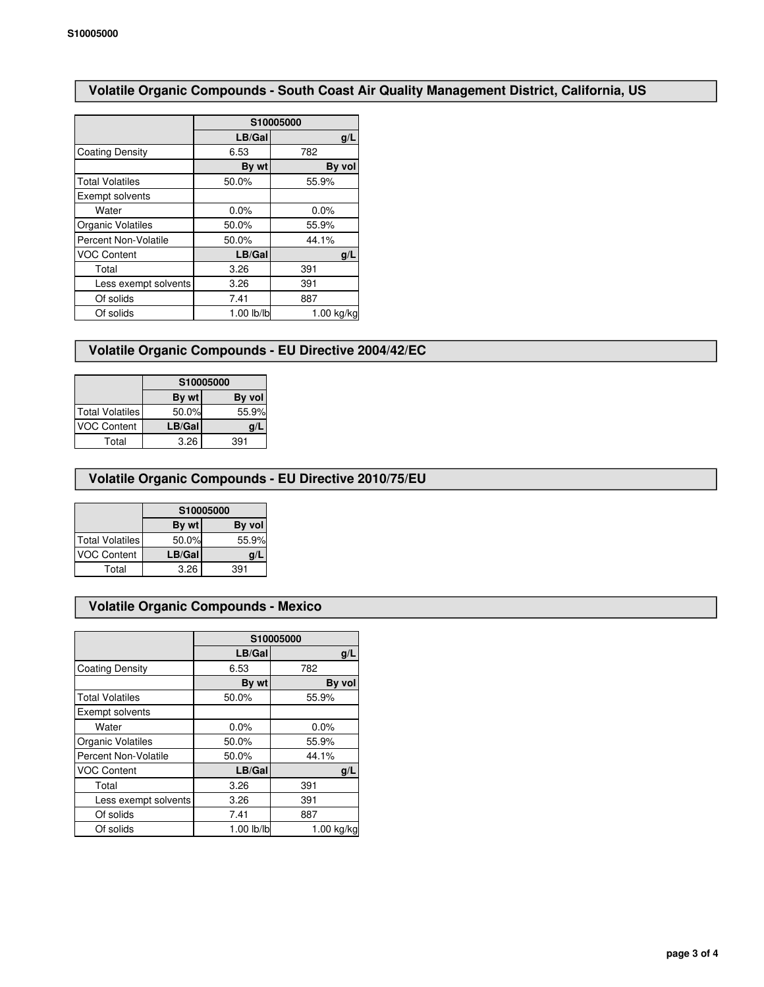# **Volatile Organic Compounds - South Coast Air Quality Management District, California, US**

|                             | S10005000  |              |  |
|-----------------------------|------------|--------------|--|
|                             | LB/Gal     | q/L          |  |
| <b>Coating Density</b>      | 6.53       | 782          |  |
|                             | By wt      | By vol       |  |
| <b>Total Volatiles</b>      | 50.0%      | 55.9%        |  |
| Exempt solvents             |            |              |  |
| Water                       | 0.0%       | 0.0%         |  |
| Organic Volatiles           | 50.0%      | 55.9%        |  |
| <b>Percent Non-Volatile</b> | 50.0%      | 44.1%        |  |
| <b>VOC Content</b>          | LB/Gal     | g/L          |  |
| Total                       | 3.26       | 391          |  |
| Less exempt solvents        | 3.26       | 391          |  |
| Of solids                   | 7.41       | 887          |  |
| Of solids                   | 1.00 lb/lb | $1.00$ kg/kg |  |

## **Volatile Organic Compounds - EU Directive 2004/42/EC**

|                        | S10005000 |        |  |
|------------------------|-----------|--------|--|
|                        | By wt     | By vol |  |
| <b>Total Volatiles</b> | 50.0%     | 55.9%  |  |
| <b>VOC Content</b>     | LB/Gal    |        |  |
| Total                  | 3.26      | 391    |  |

## **Volatile Organic Compounds - EU Directive 2010/75/EU**

|                    | S10005000 |        |  |
|--------------------|-----------|--------|--|
|                    | By wt     | By vol |  |
| Total Volatiles    | 50.0%     | 55.9%  |  |
| <b>VOC Content</b> | LB/Gal    | g/l    |  |
| Total              | 3.26      | 391    |  |

## **Volatile Organic Compounds - Mexico**

|                        | S10005000  |            |  |
|------------------------|------------|------------|--|
|                        | LB/Gal     | q/L        |  |
| <b>Coating Density</b> | 6.53       | 782        |  |
|                        | By wt      | By vol     |  |
| <b>Total Volatiles</b> | 50.0%      | 55.9%      |  |
| Exempt solvents        |            |            |  |
| Water                  | $0.0\%$    | 0.0%       |  |
| Organic Volatiles      | 50.0%      | 55.9%      |  |
| Percent Non-Volatile   | 50.0%      | 44.1%      |  |
| <b>VOC Content</b>     | LB/Gal     | g/L        |  |
| Total                  | 3.26       | 391        |  |
| Less exempt solvents   | 3.26       | 391        |  |
| Of solids              | 7.41       | 887        |  |
| Of solids              | 1.00 lb/lb | 1.00 kg/kg |  |